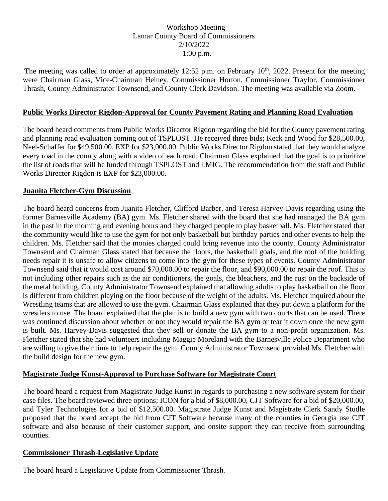## Workshop Meeting Lamar County Board of Commissioners 2/10/2022 1:00 p.m.

The meeting was called to order at approximately 12:52 p.m. on February  $10^{th}$ , 2022. Present for the meeting were Chairman Glass, Vice-Chairman Heiney, Commissioner Horton, Commissioner Traylor, Commissioner Thrash, County Administrator Townsend, and County Clerk Davidson. The meeting was available via Zoom.

#### **Public Works Director Rigdon-Approval for County Pavement Rating and Planning Road Evaluation**

The board heard comments from Public Works Director Rigdon regarding the bid for the County pavement rating and planning road evaluation coming out of TSPLOST. He received three bids; Keck and Wood for \$28,500.00, Neel-Schaffer for \$49,500.00, EXP for \$23,000.00. Public Works Director Rigdon stated that they would analyze every road in the county along with a video of each road. Chairman Glass explained that the goal is to prioritize the list of roads that will be funded through TSPLOST and LMIG. The recommendation from the staff and Public Works Director Rigdon is EXP for \$23,000.00.

#### **Juanita Fletcher-Gym Discussion**

The board heard concerns from Juanita Fletcher, Clifford Barber, and Teresa Harvey-Davis regarding using the former Barnesville Academy (BA) gym. Ms. Fletcher shared with the board that she had managed the BA gym in the past in the morning and evening hours and they charged people to play basketball. Ms. Fletcher stated that the community would like to use the gym for not only basketball but birthday parties and other events to help the children. Ms. Fletcher said that the monies charged could bring revenue into the county. County Administrator Townsend and Chairman Glass stated that because the floors, the basketball goals, and the roof of the building needs repair it is unsafe to allow citizens to come into the gym for these types of events. County Administrator Townsend said that it would cost around \$70,000.00 to repair the floor, and \$90,000.00 to repair the roof. This is not including other repairs such as the air conditioners, the goals, the bleachers, and the rust on the backside of the metal building. County Administrator Townsend explained that allowing adults to play basketball on the floor is different from children playing on the floor because of the weight of the adults. Ms. Fletcher inquired about the Wrestling teams that are allowed to use the gym. Chairman Glass explained that they put down a platform for the wrestlers to use. The board explained that the plan is to build a new gym with two courts that can be used. There was continued discussion about whether or not they would repair the BA gym or tear it down once the new gym is built. Ms. Harvey-Davis suggested that they sell or donate the BA gym to a non-profit organization. Ms. Fletcher stated that she had volunteers including Maggie Moreland with the Barnesville Police Department who are willing to give their time to help repair the gym. County Administrator Townsend provided Ms. Fletcher with the build design for the new gym.

## **Magistrate Judge Kunst-Approval to Purchase Software for Magistrate Court**

The board heard a request from Magistrate Judge Kunst in regards to purchasing a new software system for their case files. The board reviewed three options; ICON for a bid of \$8,000.00, CJT Software for a bid of \$20,000.00, and Tyler Technologies for a bid of \$12,500.00. Magistrate Judge Kunst and Magistrate Clerk Sandy Studle proposed that the board accept the bid from CJT Software because many of the counties in Georgia use CJT software and also because of their customer support, and onsite support they can receive from surrounding counties.

## **Commissioner Thrash-Legislative Update**

The board heard a Legislative Update from Commissioner Thrash.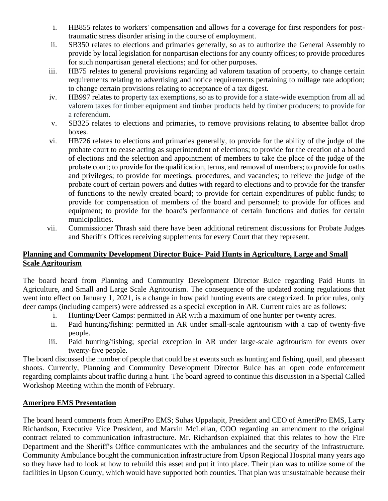- i. HB855 relates to workers' compensation and allows for a coverage for first responders for posttraumatic stress disorder arising in the course of employment.
- ii. SB350 relates to elections and primaries generally, so as to authorize the General Assembly to provide by local legislation for nonpartisan elections for any county offices; to provide procedures for such nonpartisan general elections; and for other purposes.
- iii. HB75 relates to general provisions regarding ad valorem taxation of property, to change certain requirements relating to advertising and notice requirements pertaining to millage rate adoption; to change certain provisions relating to acceptance of a tax digest.
- iv. HB997 relates to property tax exemptions, so as to provide for a state-wide exemption from all ad valorem taxes for timber equipment and timber products held by timber producers; to provide for a referendum.
- v. SB325 relates to elections and primaries, to remove provisions relating to absentee ballot drop boxes.
- vi. HB726 relates to elections and primaries generally, to provide for the ability of the judge of the probate court to cease acting as superintendent of elections; to provide for the creation of a board of elections and the selection and appointment of members to take the place of the judge of the probate court; to provide for the qualification, terms, and removal of members; to provide for oaths and privileges; to provide for meetings, procedures, and vacancies; to relieve the judge of the probate court of certain powers and duties with regard to elections and to provide for the transfer of functions to the newly created board; to provide for certain expenditures of public funds; to provide for compensation of members of the board and personnel; to provide for offices and equipment; to provide for the board's performance of certain functions and duties for certain municipalities.
- vii. Commissioner Thrash said there have been additional retirement discussions for Probate Judges and Sheriff's Offices receiving supplements for every Court that they represent.

# **Planning and Community Development Director Buice- Paid Hunts in Agriculture, Large and Small Scale Agritourism**

The board heard from Planning and Community Development Director Buice regarding Paid Hunts in Agriculture, and Small and Large Scale Agritourism. The consequence of the updated zoning regulations that went into effect on January 1, 2021, is a change in how paid hunting events are categorized. In prior rules, only deer camps (including campers) were addressed as a special exception in AR. Current rules are as follows:

- i. Hunting/Deer Camps: permitted in AR with a maximum of one hunter per twenty acres.
- ii. Paid hunting/fishing: permitted in AR under small-scale agritourism with a cap of twenty-five people.
- iii. Paid hunting/fishing; special exception in AR under large-scale agritourism for events over twenty-five people.

The board discussed the number of people that could be at events such as hunting and fishing, quail, and pheasant shoots. Currently, Planning and Community Development Director Buice has an open code enforcement regarding complaints about traffic during a hunt. The board agreed to continue this discussion in a Special Called Workshop Meeting within the month of February.

## **Ameripro EMS Presentation**

The board heard comments from AmeriPro EMS; Suhas Uppalapit, President and CEO of AmeriPro EMS, Larry Richardson, Executive Vice President, and Marvin McLellan, COO regarding an amendment to the original contract related to communication infrastructure. Mr. Richardson explained that this relates to how the Fire Department and the Sheriff's Office communicates with the ambulances and the security of the infrastructure. Community Ambulance bought the communication infrastructure from Upson Regional Hospital many years ago so they have had to look at how to rebuild this asset and put it into place. Their plan was to utilize some of the facilities in Upson County, which would have supported both counties. That plan was unsustainable because their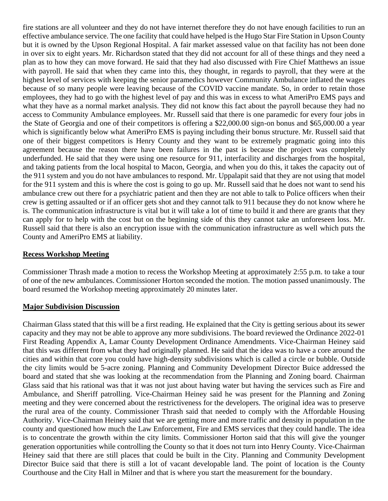fire stations are all volunteer and they do not have internet therefore they do not have enough facilities to run an effective ambulance service. The one facility that could have helped is the Hugo Star Fire Station in Upson County but it is owned by the Upson Regional Hospital. A fair market assessed value on that facility has not been done in over six to eight years. Mr. Richardson stated that they did not account for all of these things and they need a plan as to how they can move forward. He said that they had also discussed with Fire Chief Matthews an issue with payroll. He said that when they came into this, they thought, in regards to payroll, that they were at the highest level of services with keeping the senior paramedics however Community Ambulance inflated the wages because of so many people were leaving because of the COVID vaccine mandate. So, in order to retain those employees, they had to go with the highest level of pay and this was in excess to what AmeriPro EMS pays and what they have as a normal market analysis. They did not know this fact about the payroll because they had no access to Community Ambulance employees. Mr. Russell said that there is one paramedic for every four jobs in the State of Georgia and one of their competitors is offering a \$22,000.00 sign-on bonus and \$65,000.00 a year which is significantly below what AmeriPro EMS is paying including their bonus structure. Mr. Russell said that one of their biggest competitors is Henry County and they want to be extremely pragmatic going into this agreement because the reason there have been failures in the past is because the project was completely underfunded. He said that they were using one resource for 911, interfacility and discharges from the hospital, and taking patients from the local hospital to Macon, Georgia, and when you do this, it takes the capacity out of the 911 system and you do not have ambulances to respond. Mr. Uppalapit said that they are not using that model for the 911 system and this is where the cost is going to go up. Mr. Russell said that he does not want to send his ambulance crew out there for a psychiatric patient and then they are not able to talk to Police officers when their crew is getting assaulted or if an officer gets shot and they cannot talk to 911 because they do not know where he is. The communication infrastructure is vital but it will take a lot of time to build it and there are grants that they can apply for to help with the cost but on the beginning side of this they cannot take an unforeseen loss. Mr. Russell said that there is also an encryption issue with the communication infrastructure as well which puts the County and AmeriPro EMS at liability.

#### **Recess Workshop Meeting**

Commissioner Thrash made a motion to recess the Workshop Meeting at approximately 2:55 p.m. to take a tour of one of the new ambulances. Commissioner Horton seconded the motion. The motion passed unanimously. The board resumed the Workshop meeting approximately 20 minutes later.

#### **Major Subdivision Discussion**

Chairman Glass stated that this will be a first reading. He explained that the City is getting serious about its sewer capacity and they may not be able to approve any more subdivisions. The board reviewed the Ordinance 2022-01 First Reading Appendix A, Lamar County Development Ordinance Amendments. Vice-Chairman Heiney said that this was different from what they had originally planned. He said that the idea was to have a core around the cities and within that core you could have high-density subdivisions which is called a circle or bubble. Outside the city limits would be 5-acre zoning. Planning and Community Development Director Buice addressed the board and stated that she was looking at the recommendation from the Planning and Zoning board. Chairman Glass said that his rational was that it was not just about having water but having the services such as Fire and Ambulance, and Sheriff patrolling. Vice-Chairman Heiney said he was present for the Planning and Zoning meeting and they were concerned about the restrictiveness for the developers. The original idea was to preserve the rural area of the county. Commissioner Thrash said that needed to comply with the Affordable Housing Authority. Vice-Chairman Heiney said that we are getting more and more traffic and density in population in the county and questioned how much the Law Enforcement, Fire and EMS services that they could handle. The idea is to concentrate the growth within the city limits. Commissioner Horton said that this will give the younger generation opportunities while controlling the County so that it does not turn into Henry County. Vice-Chairman Heiney said that there are still places that could be built in the City. Planning and Community Development Director Buice said that there is still a lot of vacant developable land. The point of location is the County Courthouse and the City Hall in Milner and that is where you start the measurement for the boundary.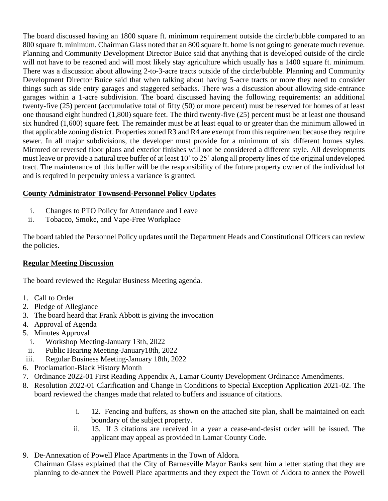The board discussed having an 1800 square ft. minimum requirement outside the circle/bubble compared to an 800 square ft. minimum. Chairman Glass noted that an 800 square ft. home is not going to generate much revenue. Planning and Community Development Director Buice said that anything that is developed outside of the circle will not have to be rezoned and will most likely stay agriculture which usually has a 1400 square ft. minimum. There was a discussion about allowing 2-to-3-acre tracts outside of the circle/bubble. Planning and Community Development Director Buice said that when talking about having 5-acre tracts or more they need to consider things such as side entry garages and staggered setbacks. There was a discussion about allowing side-entrance garages within a 1-acre subdivision. The board discussed having the following requirements: an additional twenty-five (25) percent (accumulative total of fifty (50) or more percent) must be reserved for homes of at least one thousand eight hundred (1,800) square feet. The third twenty-five (25) percent must be at least one thousand six hundred (1,600) square feet. The remainder must be at least equal to or greater than the minimum allowed in that applicable zoning district. Properties zoned R3 and R4 are exempt from this requirement because they require sewer. In all major subdivisions, the developer must provide for a minimum of six different homes styles. Mirrored or reversed floor plans and exterior finishes will not be considered a different style. All developments must leave or provide a natural tree buffer of at least 10' to 25' along all property lines of the original undeveloped tract. The maintenance of this buffer will be the responsibility of the future property owner of the individual lot and is required in perpetuity unless a variance is granted.

# **County Administrator Townsend-Personnel Policy Updates**

- i. Changes to PTO Policy for Attendance and Leave
- ii. Tobacco, Smoke, and Vape-Free Workplace

The board tabled the Personnel Policy updates until the Department Heads and Constitutional Officers can review the policies.

# **Regular Meeting Discussion**

The board reviewed the Regular Business Meeting agenda.

- 1. Call to Order
- 2. Pledge of Allegiance
- 3. The board heard that Frank Abbott is giving the invocation
- 4. Approval of Agenda
- 5. Minutes Approval
	- i. Workshop Meeting-January 13th, 2022
- ii. Public Hearing Meeting-January18th, 2022
- iii. Regular Business Meeting-January 18th, 2022
- 6. Proclamation-Black History Month
- 7. Ordinance 2022-01 First Reading Appendix A, Lamar County Development Ordinance Amendments.
- 8. Resolution 2022-01 Clarification and Change in Conditions to Special Exception Application 2021-02. The board reviewed the changes made that related to buffers and issuance of citations.
	- i. 12. Fencing and buffers, as shown on the attached site plan, shall be maintained on each boundary of the subject property.
	- ii. 15. If 3 citations are received in a year a cease-and-desist order will be issued. The applicant may appeal as provided in Lamar County Code.
- 9. De-Annexation of Powell Place Apartments in the Town of Aldora. Chairman Glass explained that the City of Barnesville Mayor Banks sent him a letter stating that they are planning to de-annex the Powell Place apartments and they expect the Town of Aldora to annex the Powell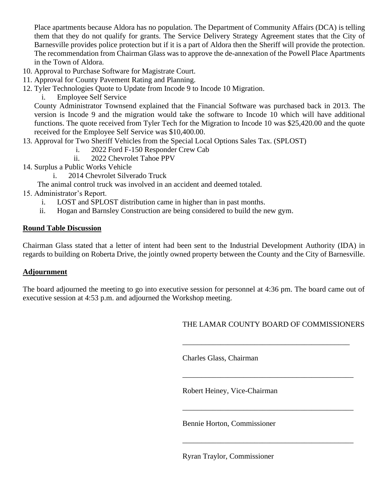Place apartments because Aldora has no population. The Department of Community Affairs (DCA) is telling them that they do not qualify for grants. The Service Delivery Strategy Agreement states that the City of Barnesville provides police protection but if it is a part of Aldora then the Sheriff will provide the protection. The recommendation from Chairman Glass was to approve the de-annexation of the Powell Place Apartments in the Town of Aldora.

- 10. Approval to Purchase Software for Magistrate Court.
- 11. Approval for County Pavement Rating and Planning.
- 12. Tyler Technologies Quote to Update from Incode 9 to Incode 10 Migration.
	- i. Employee Self Service

County Administrator Townsend explained that the Financial Software was purchased back in 2013. The version is Incode 9 and the migration would take the software to Incode 10 which will have additional functions. The quote received from Tyler Tech for the Migration to Incode 10 was \$25,420.00 and the quote received for the Employee Self Service was \$10,400.00.

- 13. Approval for Two Sheriff Vehicles from the Special Local Options Sales Tax. (SPLOST)
	- i. 2022 Ford F-150 Responder Crew Cab
	- ii. 2022 Chevrolet Tahoe PPV
- 14. Surplus a Public Works Vehicle
	- i. 2014 Chevrolet Silverado Truck
	- The animal control truck was involved in an accident and deemed totaled.
- 15. Administrator's Report.
	- i. LOST and SPLOST distribution came in higher than in past months.
	- ii. Hogan and Barnsley Construction are being considered to build the new gym.

# **Round Table Discussion**

Chairman Glass stated that a letter of intent had been sent to the Industrial Development Authority (IDA) in regards to building on Roberta Drive, the jointly owned property between the County and the City of Barnesville.

## **Adjournment**

The board adjourned the meeting to go into executive session for personnel at 4:36 pm. The board came out of executive session at 4:53 p.m. and adjourned the Workshop meeting.

THE LAMAR COUNTY BOARD OF COMMISSIONERS

\_\_\_\_\_\_\_\_\_\_\_\_\_\_\_\_\_\_\_\_\_\_\_\_\_\_\_\_\_\_\_\_\_\_\_\_\_\_\_\_\_\_\_\_

\_\_\_\_\_\_\_\_\_\_\_\_\_\_\_\_\_\_\_\_\_\_\_\_\_\_\_\_\_\_\_\_\_\_\_\_\_\_\_\_\_\_\_\_\_

\_\_\_\_\_\_\_\_\_\_\_\_\_\_\_\_\_\_\_\_\_\_\_\_\_\_\_\_\_\_\_\_\_\_\_\_\_\_\_\_\_\_\_\_\_

\_\_\_\_\_\_\_\_\_\_\_\_\_\_\_\_\_\_\_\_\_\_\_\_\_\_\_\_\_\_\_\_\_\_\_\_\_\_\_\_\_\_\_\_\_

Charles Glass, Chairman

Robert Heiney, Vice-Chairman

Bennie Horton, Commissioner

Ryran Traylor, Commissioner